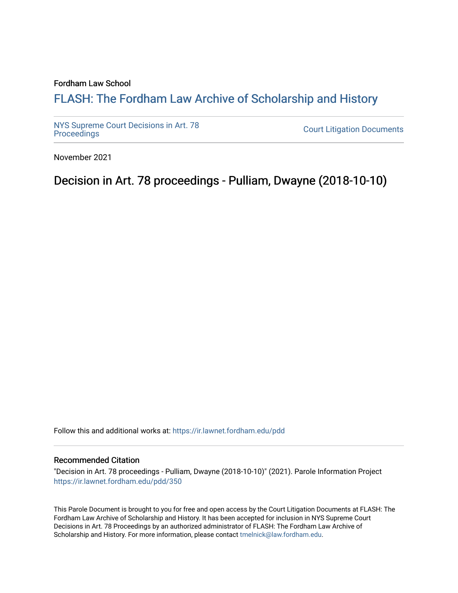#### Fordham Law School

## FLASH: The For[dham Law Archive of Scholarship and Hist](https://ir.lawnet.fordham.edu/)ory

[NYS Supreme Court Decisions in Art. 78](https://ir.lawnet.fordham.edu/pdd)

**Court Litigation Documents** 

November 2021

Decision in Art. 78 proceedings - Pulliam, Dwayne (2018-10-10)

Follow this and additional works at: [https://ir.lawnet.fordham.edu/pdd](https://ir.lawnet.fordham.edu/pdd?utm_source=ir.lawnet.fordham.edu%2Fpdd%2F350&utm_medium=PDF&utm_campaign=PDFCoverPages)

#### Recommended Citation

"Decision in Art. 78 proceedings - Pulliam, Dwayne (2018-10-10)" (2021). Parole Information Project [https://ir.lawnet.fordham.edu/pdd/350](https://ir.lawnet.fordham.edu/pdd/350?utm_source=ir.lawnet.fordham.edu%2Fpdd%2F350&utm_medium=PDF&utm_campaign=PDFCoverPages)

This Parole Document is brought to you for free and open access by the Court Litigation Documents at FLASH: The Fordham Law Archive of Scholarship and History. It has been accepted for inclusion in NYS Supreme Court Decisions in Art. 78 Proceedings by an authorized administrator of FLASH: The Fordham Law Archive of Scholarship and History. For more information, please contact [tmelnick@law.fordham.edu](mailto:tmelnick@law.fordham.edu).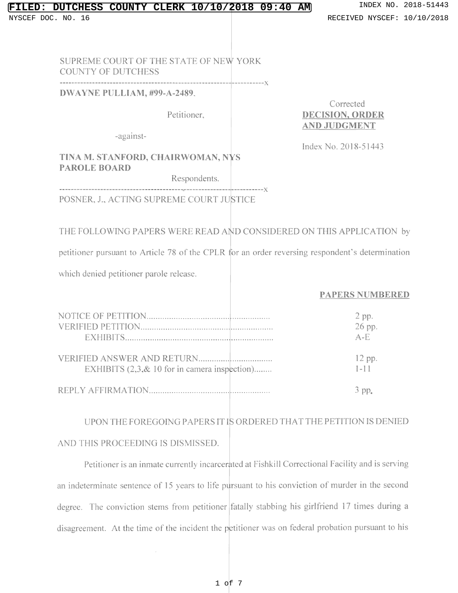### **FILT CLERK 10/10/2018 09:40 AM** INDEX NO. 2018-51443

SUPREME COURT OF TIIE STATE OF NEW YORK COUNTY OF DUTCHESS

DWAYNE PULLIAM, #99-A-2489.

Corrected Petitioner, DECISION, ORDER AND JUDGMENT

-against-

Index No. 2018-51443

### TINA M. STANFORD, CHAIRWOMAN, NYS PAROLE BOARD

--------------------------------------------------------- -----------x

Respondents.

POSNER, J., ACTING SUPREME COURT JUSTICE

 $\epsilon$ 

### THE FOLLOWING PAPERS WERE READ AND CONSIDERED ON THIS APPLICATION by

petitioner pursuant to Article 78 of the CPLR for an order reversing respondent's determination

which denied petitioner parole release.

#### PAPERS NUMBERED

|                                               | 2 pp.    |
|-----------------------------------------------|----------|
|                                               | 26 pp.   |
|                                               | $A - F$  |
|                                               | $12$ pp. |
| EXHIBITS (2,3, & 10 for in camera inspection) | $1 - 11$ |
|                                               | 3 DD.    |

# UPON THE FOREGOING PAPERS IT IS ORDERED THAT THE PETITION IS DENIED AND THIS PROCEEDING IS DISMISSED.

Petitioner is an inmate currently incarcerated at Fishkill Correctional Facility and is serving an indeterminate sentence of 15 years to life pursuant to his conviction of murder in the second degree. The conviction stems from petitioner fatally stabbing his girlfriend 17 times during a disagreement. At the time of the incident the p titioner was on federal probation pursuant to his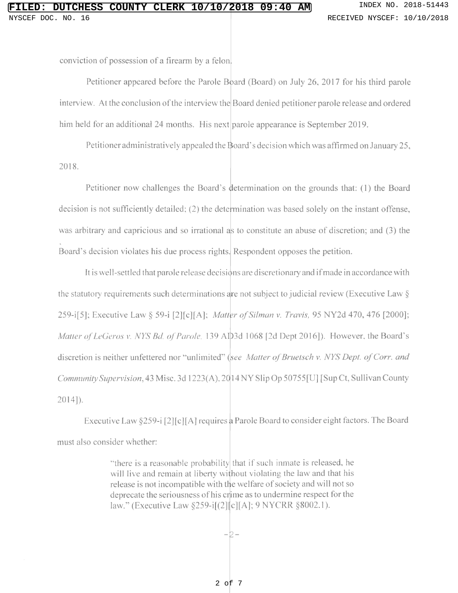conviction of possession of a firearm by a felon

Petitioner appeared before the Parole Board (Board) on July 26, 2017 for his third parole interview. At the conclusion of the interview the Board denied petitioner parole release and ordered him held for an additional 24 months. His next parole appearance is September 2019.

Petitioner administratively appealed the Board's decision which was affirmed on January 25, 2018.

Petitioner now challenges the Board's determination on the grounds that: (1) the Board decision is not sufficiently detailed; (2) the determination was based solely on the instant offense, was arbitrary and capricious and so irrational as to constitute an abuse of discretion: and (3) the Board's decision violates his due process rights. Respondent opposes the petition.

It is well-settled that parole release decisions are discretionary and ifmade in accordance with the statutory requirements such determinations are not subject to judicial review (Executive Law  $\S$ 259-i[5]; Executive Law § 59-i [2][c][A]; *Matter of Silman v. Travis*, 95 NY2d 470, 476 [200 Matter of LeGeros v. NYS Bd. of Parole, 139 AD3d 1068 [2d Dept 2016]). However, the Board's discretion is neither unfettered nor "unlimited" (see Matter of Bruetsch v. NYS Dept. of Corr. an Community Supervision, 43 Misc. 3d 1223(A), 20 14 NY Slip Op 50755[U] [Sup Ct, Sullivan County 2014]).

Executive Law §259-i [2][c][A] requires a Parole Board to consider eight factors. The Board must also consider whether:

> "there is <sup>a</sup> reasonable probability that if such inmate is released. he will live and remain at liberty without violating the law and that his release is not incompatible with the welfare of society and will not so deprecate the seriousness ofhis crime as to undermine respect for the law." (Executive Law §259-i[(2][c][A]; 9 NYCRR §8002

> > $-2-$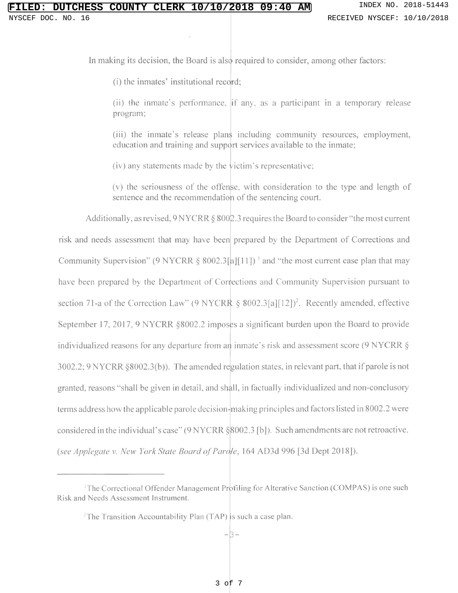In making its decision, the Board is also required to consider, among other factors:

(i) the inmates' institutional record

(ii) the inmate's performance. if any, as a participant in a temporary release program:

(iii) the inmate's release plans including community resources, employment, education and training and support services available to the inmate;

(iv) any statements made by the  $\dot{\text{v}$ ictim's representative;

(v) the seriousness of the offense, with consideration to the type and length of sentence and the recommendation of the sentencing court.

Additionally, as revised, 9 N Y C RR  $\S$  800 $\not\!\! \subseteq$  .3 requires the Board to consider "the most curre risk and needs assessment that may have been prepared by the Department of Corrections and Community Supervision" (9 NYCRR § 8002.3[ $a$ ][11])<sup>1</sup> and "the most current case plan that ma have been prepared by the Department of Corrections and Community Supervision pursuant to section 71-a of the Correction Law" (9 NYCRR § 8002.3[a][12])<sup>2</sup>. Recently amended, effect September 17, 2017, 9 NYCRR §8002.2 imposes a significant burden upon the Board to provide individualized reasons for any departure from an inmate's risk and assessment score (9 NYCRR  $\S$ ) 3002.2:9 NYCRR §8002.3(b)). The amended regulation states, in relevant part, that if parole is not granted. reasons "shall be given in detail, and shall in factually individualized and non-conclusory terms address how the applicable parole decision-making principles and factors listed in 8002.2 were considered in the individual's case"(9 NYCRR §8002.3 [b]). Such amendments are not retroactive. (see Applegate v. New York State Board of Parole, 164 AD3d 996 [3d Dept 2018]).

<sup>&</sup>lt;sup>1</sup>The Correctional Offender Management Profiling for Alterative Sanction (COMPAS) is one such Risk and Needs Assessment Instrument.

<sup>&</sup>lt;sup>2</sup>The Transition Accountability Plan (TAP) is such a case plan.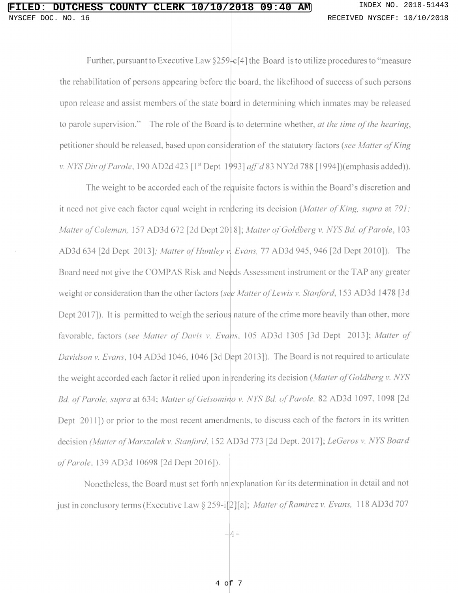Further, pursuant to Executive Law  $\S259 \cdot c$  [4] the Board is to utilize procedures to "measure" the rehabilitation of persons appearing before the board, the likelihood of success of such persons upon release and assist members of the state board in determining which inmates may be released to parole supervision." The role of the Board is to determine whether, at the time of the hearing petitioner should be released, based upon consideration of the statutory factors (see Matter of King v. *NYS Div of Parole*, 190 AD2d 423 [1<sup>st</sup> Dept 1993] *aff"d* 83 NY2d 788 [1994])(emphasis added

The weight to be accorded each of the requisite factors is within the Board's discretion and it need not give each factor equal weight in rendering its decision (*Matter of King, supra* at 791; Matter of Coleman, 157 AD3d 672 [2d Dept 20] 8]; Matter of Goldberg v. NYS Bd. of Parole, 103 AD3d 634 [2d Dept 2013]; Matter of Huntley v. Evans, 77 AD3d 945, 946 [2d Dept 2010]). The Board need not give the COMPAS Risk and Needs Assessment instrument or the TAP any greater weight or consideration than the other factors (see Matter of Lewis v. Stanford, 153 AD3d 1478 [3d Dept 2017]). It is permitted to weigh the serious nature of the crime more heavily than other, more favorable, factors (see Matter of Davis v. Evans, 105 AD3d 1305 [3d Dept 2013]; Matter of Davidson v. Evans, 104 AD3d 1046, 1046 [3d Dept 2013]). The Board is not required to articulate the weight accorded each factor it relied upon in rendering its decision (Matter of Goldberg v. NYS Bd. of Parole, supra at 634; Matter of Gelsomino v. NYS Bd. of Parole, 82 AD3d 1097, 1098 [2d Dept 2011) or prior to the most recent amendments, to discuss each of the factors in its written decision (Matter of Marszalek v. Stanford, 152 AD3d 773 [2d Dept. 2017]; LeGeros v. NYS Board of Parole. 139 AD3d 10698 [2d Dept 2016|).

Nonetheless, the Board must set forth an explanation for its determination in detail and not just in conclusory terms (Executive Law § 259-i[2][al; Matter of Ramirez v. Evans, <sup>I</sup> <sup>18</sup> AD3d <sup>707</sup>

 $-4-$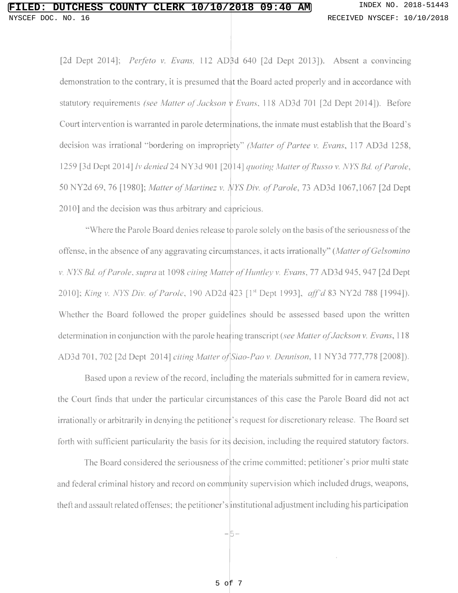[2d Dept 2014]; *Perfeto v. Evans*, 112 AD<sub>3</sub>d 640 [2d Dept 2013]). Absent a convincing demonstration to the contrary, it is presumed that the Board acted properly and in accordance with statutory requirements *(see Matter of Jackson v Evans.* 118 AD3d 701 [2d Dept 2014]). Before Court intervention is warranted in parole determinations, the inmate must establish that the Board's decision was irrational "bordering on impropricty" (Matter of Partee v. Evans, 117 AD3d 125 1259 [3d Dept 2014] lv denied 24 NY3d 901 [2014] quoting Matter of Russo v. NYS Bd. of Parole, 50 NY2d 69, 76 [1980]; Matter of Martinez v. NYS Div. of Parole, 73 AD3d 1067,1067 [2d Dept 2010] and the decision was thus arbitrary and capricious.

"Where the Parole Board denies release to parole solely on the basis of the seriousness of the offense, in the absence of any aggravating circumstances, it acts irrationally" (Matter of Gelson v. NYS Bd. of Parole, supra at 1098 citing Matter of Huntley v. Evans, 77 AD3d 945, 947 [2d Dept 2010]; King v. NYS Div. of Parole, 190 AD2d 423 [1<sup>st</sup> Dept 1993], aff'd 83 NY2d 788 [1994]). Whether the Board followed the proper guidelines should be assessed based upon the written determination in conjunction with the parole hearing transcript (see Matter of Jackson v. Evans, 118 AD3d 701, 702 [2d Dept 2014] citing Matter of Siao-Pao v. Dennison, 11 NY3d 777,778 [2008]).

Based upon a review of the record, including the materials submitted for in camera review, the Court finds that under the particular circumstances of this case the Parole Board did not act irrationally or arbitrarily in denying the petitioner's request for discretionary release. The Board set forth with sufficient particularity the basis for its decision, including the required statutory factors.

The Board considered the seriousness of the crime committed; petitioner's prior multi state and federal criminal history and record on community supervision which included drugs, weapons, theft and assault related offenses; the petitioner's institutional adjustment including his participation

-5-

5 of 7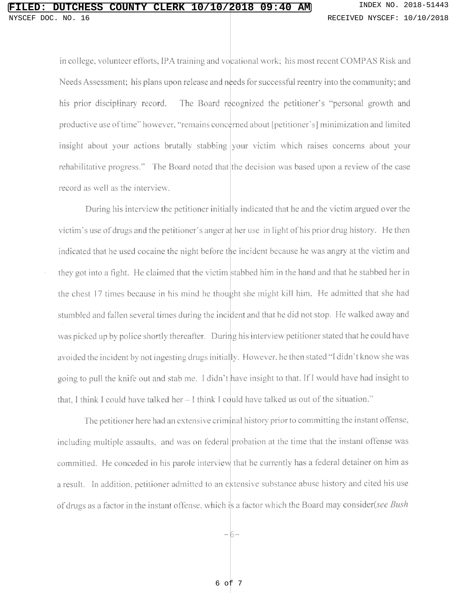in college, volunteer efforts, IPA training and vocational work: his most recent COMPAS Risk and Needs Assessment; his plans upon release and needs for successful reentry into the community; and his prior disciplinary record. The Board recognized the petitioner's "personal growth and productive use of time" however. "remains concerned about [petitioner's] minimization and limi insight about your actions brutally stabbing your victim which raises concerns about your rehabilitative progress." The Board noted that the decision was based upon a review of the cas record as well as the interview.

During his interview the petitioner initially indicated that he and the victim argued over the victim's use of drugs and the petitioner's anger at her use in light of his prior drug history. He then indicated that he used cocaine the night before the incident because he was angry at the victim and they got into a fight. He claimed that the victim stabbed him in the hand and that he stabbed her in the chest 17 times because in his mind he thought she might kill him. He admitted that she had stumbled and fallen several times during the incident and that he did not stop. He walked away and was picked up by police shortly thereafter. During his interview petitioner stated that he could have avoided the incident by not ingesting drugs initially. However, he then stated "I didn't know she was going to pull the knife out and stab me. I didn't have insight to that. If I would have had insight to that, I think I could have talked her  $-1$  think I could have talked us out of the situation.'

The petitioner here had an extensive criminal history prior to committing the instant offense, including multiple assaults, and was on federal probation at the time that the instant offense was committed. He conceded in his parole interview that he currently has a federal detainer on him as a result. In addition, petitioner admitted to an extensive substance abuse history and cited his use of drugs as a factor in the instant offense, which is a factor which the Board may consider(see Bush

-6-